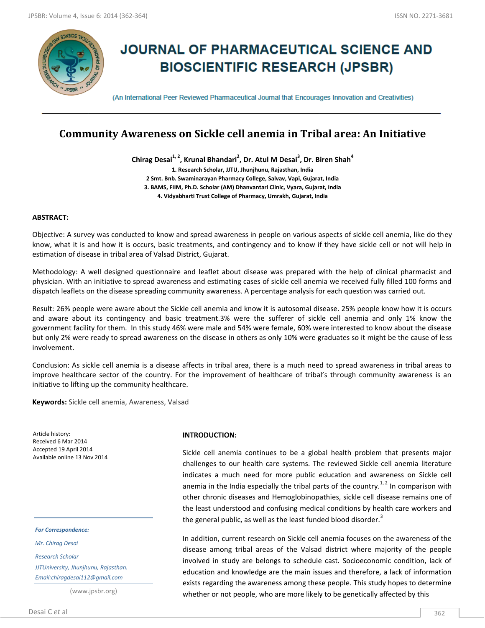

# **JOURNAL OF PHARMACEUTICAL SCIENCE AND BIOSCIENTIFIC RESEARCH (JPSBR)**

(An International Peer Reviewed Pharmaceutical Journal that Encourages Innovation and Creativities)

## **Community Awareness on Sickle cell anemia in Tribal area: An Initiative**

**Chirag Desai1, 2, Krunal Bhandari<sup>2</sup> , Dr. Atul M Desai<sup>3</sup> , Dr. Biren Shah<sup>4</sup> 1. Research Scholar, JJTU, Jhunjhunu, Rajasthan, India 2 Smt. Bnb. Swaminarayan Pharmacy College, Salvav, Vapi, Gujarat, India 3. BAMS, FIIM, Ph.D. Scholar (AM) Dhanvantari Clinic, Vyara, Gujarat, India 4. Vidyabharti Trust College of Pharmacy, Umrakh, Gujarat, India**

## **ABSTRACT:**

Objective: A survey was conducted to know and spread awareness in people on various aspects of sickle cell anemia, like do they know, what it is and how it is occurs, basic treatments, and contingency and to know if they have sickle cell or not will help in estimation of disease in tribal area of Valsad District, Gujarat.

Methodology: A well designed questionnaire and leaflet about disease was prepared with the help of clinical pharmacist and physician. With an initiative to spread awareness and estimating cases of sickle cell anemia we received fully filled 100 forms and dispatch leaflets on the disease spreading community awareness. A percentage analysis for each question was carried out.

Result: 26% people were aware about the Sickle cell anemia and know it is autosomal disease. 25% people know how it is occurs and aware about its contingency and basic treatment.3% were the sufferer of sickle cell anemia and only 1% know the government facility for them. In this study 46% were male and 54% were female, 60% were interested to know about the disease but only 2% were ready to spread awareness on the disease in others as only 10% were graduates so it might be the cause of less involvement.

Conclusion: As sickle cell anemia is a disease affects in tribal area, there is a much need to spread awareness in tribal areas to improve healthcare sector of the country. For the improvement of healthcare of tribal's through community awareness is an initiative to lifting up the community healthcare.

**Keywords:** Sickle cell anemia, Awareness, Valsad

Article history: Received 6 Mar 2014 Accepted 19 April 2014 Available online 13 Nov 2014

*For Correspondence:*

*Mr. Chirag Desai*

*Research Scholar JJTUniversity, Jhunjhunu, Rajasthan. Email:chiragdesai112@gmail.com*

(www.jpsbr.org)

## Desai C *et* al 362

### **INTRODUCTION:**

Sickle cell anemia continues to be a global health problem that presents major challenges to our health care systems. The reviewed Sickle cell anemia literature indicates a much need for more public education and awareness on Sickle cell anemia in the India especially the tribal parts of the country.<sup>1,2</sup> In comparison with other chronic diseases and Hemoglobinopathies, sickle cell disease remains one of the least understood and confusing medical conditions by health care workers and the general public, as well as the least funded blood disorder.<sup>3</sup>

In addition, current research on Sickle cell anemia focuses on the awareness of the disease among tribal areas of the Valsad district where majority of the people involved in study are belongs to schedule cast. Socioeconomic condition, lack of education and knowledge are the main issues and therefore, a lack of information exists regarding the awareness among these people. This study hopes to determine whether or not people, who are more likely to be genetically affected by this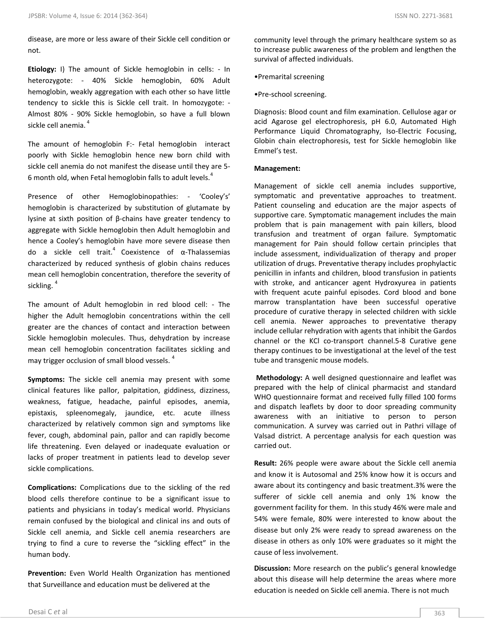disease, are more or less aware of their Sickle cell condition or not.

**Etiology:** I) The amount of Sickle hemoglobin in cells: - In heterozygote: - 40% Sickle hemoglobin, 60% Adult hemoglobin, weakly aggregation with each other so have little tendency to sickle this is Sickle cell trait. In homozygote: - Almost 80% - 90% Sickle hemoglobin, so have a full blown sickle cell anemia.<sup>4</sup>

The amount of hemoglobin F:- Fetal hemoglobin interact poorly with Sickle hemoglobin hence new born child with sickle cell anemia do not manifest the disease until they are 5- 6 month old, when Fetal hemoglobin falls to adult levels. $4$ 

Presence of other Hemoglobinopathies: - 'Cooley's' hemoglobin is characterized by substitution of glutamate by lysine at sixth position of β-chains have greater tendency to aggregate with Sickle hemoglobin then Adult hemoglobin and hence a Cooley's hemoglobin have more severe disease then do a sickle cell trait.<sup>4</sup> Coexistence of  $\alpha$ -Thalassemias characterized by reduced synthesis of globin chains reduces mean cell hemoglobin concentration, therefore the severity of sickling.<sup>4</sup>

The amount of Adult hemoglobin in red blood cell: - The higher the Adult hemoglobin concentrations within the cell greater are the chances of contact and interaction between Sickle hemoglobin molecules. Thus, dehydration by increase mean cell hemoglobin concentration facilitates sickling and may trigger occlusion of small blood vessels.<sup>4</sup>

**Symptoms:** The sickle cell anemia may present with some clinical features like pallor, palpitation, giddiness, dizziness, weakness, fatigue, headache, painful episodes, anemia, epistaxis, spleenomegaly, jaundice, etc. acute illness characterized by relatively common sign and symptoms like fever, cough, abdominal pain, pallor and can rapidly become life threatening. Even delayed or inadequate evaluation or lacks of proper treatment in patients lead to develop sever sickle complications.

**Complications:** Complications due to the sickling of the red blood cells therefore continue to be a significant issue to patients and physicians in today's medical world. Physicians remain confused by the biological and clinical ins and outs of Sickle cell anemia, and Sickle cell anemia researchers are trying to find a cure to reverse the "sickling effect" in the human body.

**Prevention:** Even World Health Organization has mentioned that Surveillance and education must be delivered at the

community level through the primary healthcare system so as to increase public awareness of the problem and lengthen the survival of affected individuals.

- •Premarital screening
- •Pre-school screening.

Diagnosis: Blood count and film examination. Cellulose agar or acid Agarose gel electrophoresis, pH 6.0, Automated High Performance Liquid Chromatography, Iso-Electric Focusing, Globin chain electrophoresis, test for Sickle hemoglobin like Emmel's test.

## **Management:**

Management of sickle cell anemia includes supportive, symptomatic and preventative approaches to treatment. Patient counseling and education are the major aspects of supportive care. Symptomatic management includes the main problem that is pain management with pain killers, blood transfusion and treatment of organ failure. Symptomatic management for Pain should follow certain principles that include assessment, individualization of therapy and proper utilization of drugs. Preventative therapy includes prophylactic penicillin in infants and children, blood transfusion in patients with stroke, and anticancer agent Hydroxyurea in patients with frequent acute painful episodes. Cord blood and bone marrow transplantation have been successful operative procedure of curative therapy in selected children with sickle cell anemia. Newer approaches to preventative therapy include cellular rehydration with agents that inhibit the Gardos channel or the KCl co-transport channel.5-8 Curative gene therapy continues to be investigational at the level of the test tube and transgenic mouse models.

**Methodology:** A well designed questionnaire and leaflet was prepared with the help of clinical pharmacist and standard WHO questionnaire format and received fully filled 100 forms and dispatch leaflets by door to door spreading community awareness with an initiative to person to person communication. A survey was carried out in Pathri village of Valsad district. A percentage analysis for each question was carried out.

**Result:** 26% people were aware about the Sickle cell anemia and know it is Autosomal and 25% know how it is occurs and aware about its contingency and basic treatment.3% were the sufferer of sickle cell anemia and only 1% know the government facility for them. In this study 46% were male and 54% were female, 80% were interested to know about the disease but only 2% were ready to spread awareness on the disease in others as only 10% were graduates so it might the cause of less involvement.

**Discussion:** More research on the public's general knowledge about this disease will help determine the areas where more education is needed on Sickle cell anemia. There is not much